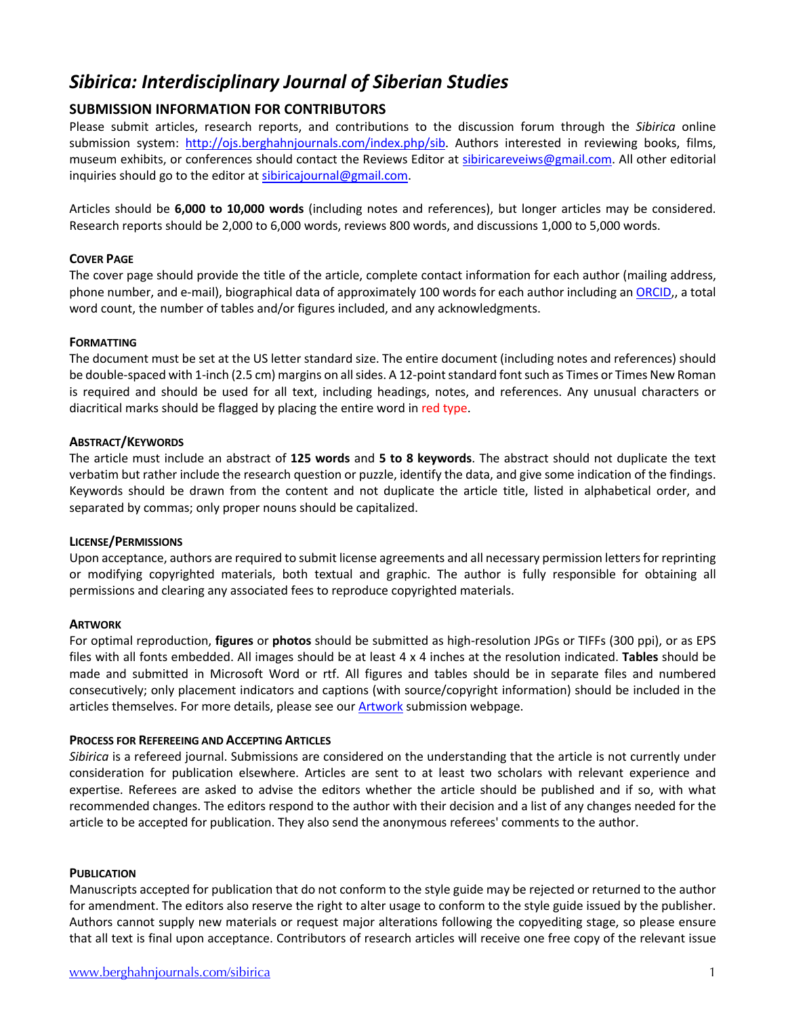# *Sibirica: Interdisciplinary Journal of Siberian Studies*

## **SUBMISSION INFORMATION FOR CONTRIBUTORS**

Please submit articles, research reports, and contributions to the discussion forum through the *Sibirica* online submission system: http://ojs.berghahnjournals.com/index.php/sib. Authors interested in reviewing books, films, museum exhibits, or conferences should contact the Reviews Editor at sibiricareveiws@gmail.com. All other editorial inquiries should go to the editor at sibiricajournal@gmail.com.

Articles should be **6,000 to 10,000 words** (including notes and references), but longer articles may be considered. Research reports should be 2,000 to 6,000 words, reviews 800 words, and discussions 1,000 to 5,000 words.

## **COVER PAGE**

The cover page should provide the title of the article, complete contact information for each author (mailing address, phone number, and e-mail), biographical data of approximately 100 words for each author including an [ORCID](orcid.org),, a total word count, the number of tables and/or figures included, and any acknowledgments.

## **FORMATTING**

The document must be set at the US letter standard size. The entire document (including notes and references) should be double-spaced with 1-inch (2.5 cm) margins on all sides. A 12-point standard font such as Times or Times New Roman is required and should be used for all text, including headings, notes, and references. Any unusual characters or diacritical marks should be flagged by placing the entire word in red type.

## **ABSTRACT/KEYWORDS**

The article must include an abstract of **125 words** and **5 to 8 keywords**. The abstract should not duplicate the text verbatim but rather include the research question or puzzle, identify the data, and give some indication of the findings. Keywords should be drawn from the content and not duplicate the article title, listed in alphabetical order, and separated by commas; only proper nouns should be capitalized.

## **LICENSE/PERMISSIONS**

Upon acceptance, authors are required to submit license agreements and all necessary permission letters for reprinting or modifying copyrighted materials, both textual and graphic. The author is fully responsible for obtaining all permissions and clearing any associated fees to reproduce copyrighted materials.

## **ARTWORK**

For optimal reproduction, **figures** or **photos** should be submitted as high-resolution JPGs or TIFFs (300 ppi), or as EPS files with all fonts embedded. All images should be at least 4 x 4 inches at the resolution indicated. **Tables** should be made and submitted in Microsoft Word or rtf. All figures and tables should be in separate files and numbered consecutively; only placement indicators and captions (with source/copyright information) should be included in the articles themselves. For more details, please see our [Artwork](https://www.berghahnjournals.com/page/411/artwork) submission webpage.

## **PROCESS FOR REFEREEING AND ACCEPTING ARTICLES**

*Sibirica* is a refereed journal. Submissions are considered on the understanding that the article is not currently under consideration for publication elsewhere. Articles are sent to at least two scholars with relevant experience and expertise. Referees are asked to advise the editors whether the article should be published and if so, with what recommended changes. The editors respond to the author with their decision and a list of any changes needed for the article to be accepted for publication. They also send the anonymous referees' comments to the author.

## **PUBLICATION**

Manuscripts accepted for publication that do not conform to the style guide may be rejected or returned to the author for amendment. The editors also reserve the right to alter usage to conform to the style guide issued by the publisher. Authors cannot supply new materials or request major alterations following the copyediting stage, so please ensure that all text is final upon acceptance. Contributors of research articles will receive one free copy of the relevant issue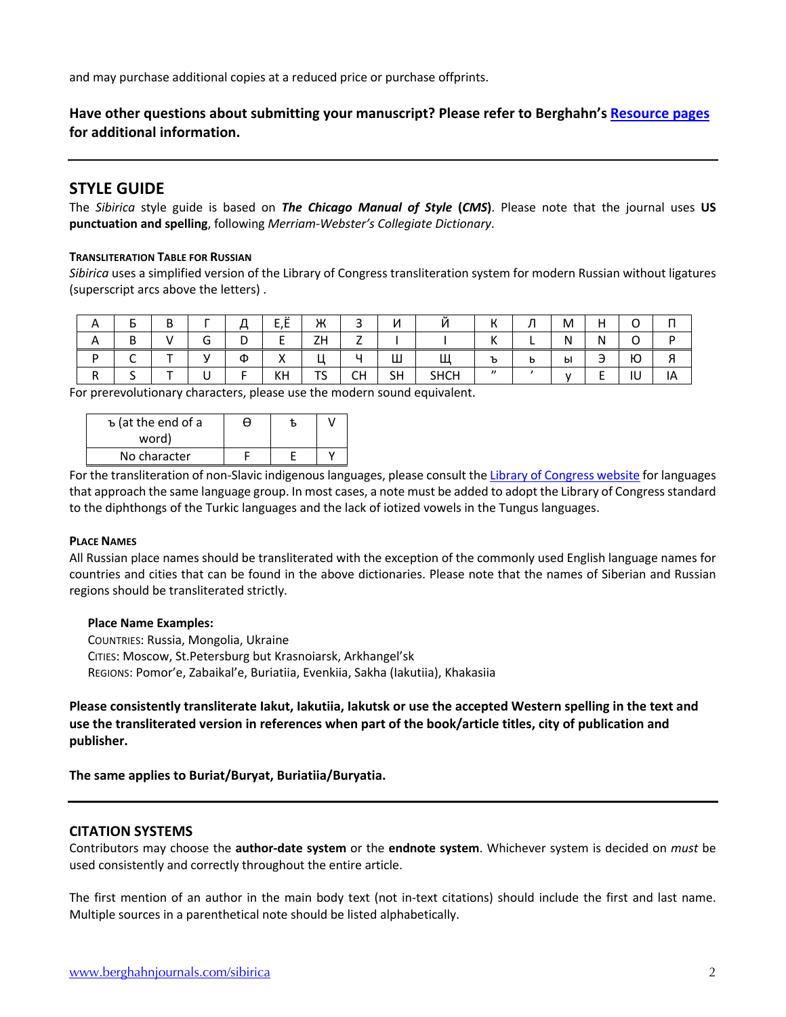and may purchase additional copies at a reduced price or purchase offprints.

**Have other questions about submitting your manuscript? Please refer to Berghahn's [Resource pages](https://www.berghahnjournals.com/page/resources) for additional information.**

## **STYLE GUIDE**

The *Sibirica* style guide is based on *The Chicago Manual of Style* **(***CMS***)**. Please note that the journal uses **US punctuation and spelling**, following *Merriam-Webster's Collegiate Dictionary*.

### **TRANSLITERATION TABLE FOR RUSSIAN**

*Sibirica* uses a simplified version of the Library of Congress transliteration system for modern Russian without ligatures (superscript arcs above the letters) .

| $\sqrt{ }$ |        | ח<br>D |        | n<br>← | $\cdot$<br>c,c | Ж  | $\overline{\phantom{0}}$<br>ٮ | и |          | $\mathbf{L}$ | л | M | н<br>. . | ⌒ | ' ' |
|------------|--------|--------|--------|--------|----------------|----|-------------------------------|---|----------|--------------|---|---|----------|---|-----|
| $\sqrt{ }$ | ח<br>◡ |        | ∽<br>G | י      |                | ZΗ | -<br><u>_</u>                 |   |          | ''           |   | Ν | N        | ∽ |     |
|            | ∽      |        |        |        |                |    |                               |   | $\cdots$ |              |   |   |          |   |     |
|            |        |        |        | Φ      |                |    |                               | Ш |          |              | D | ы | ٮ        | Ю |     |

For prerevolutionary characters, please use the modern sound equivalent.

| ъ (at the end of a<br>word) | H |  |
|-----------------------------|---|--|
| No character                |   |  |

For the transliteration of non-Slavic indigenous languages, please consult the [Library of Congress website](https://www.loc.gov/catdir/cpso/roman.html) for languages that approach the same language group. In most cases, a note must be added to adopt the Library of Congress standard to the diphthongs of the Turkic languages and the lack of iotized vowels in the Tungus languages.

## **PLACE NAMES**

All Russian place names should be transliterated with the exception of the commonly used English language names for countries and cities that can be found in the above dictionaries. Please note that the names of Siberian and Russian regions should be transliterated strictly.

#### **Place Name Examples:**

COUNTRIES: Russia, Mongolia, Ukraine CITIES: Moscow, St.Petersburg but Krasnoiarsk, Arkhangel'sk REGIONS: Pomor'e, Zabaikal'e, Buriatiia, Evenkiia, Sakha (Iakutiia), Khakasiia

**Please consistently transliterate Iakut, Iakutiia, Iakutsk or use the accepted Western spelling in the text and use the transliterated version in references when part of the book/article titles, city of publication and publisher.**

**The same applies to Buriat/Buryat, Buriatiia/Buryatia.**

## **CITATION SYSTEMS**

Contributors may choose the **author-date system** or the **endnote system**. Whichever system is decided on *must* be used consistently and correctly throughout the entire article.

The first mention of an author in the main body text (not in-text citations) should include the first and last name. Multiple sources in a parenthetical note should be listed alphabetically.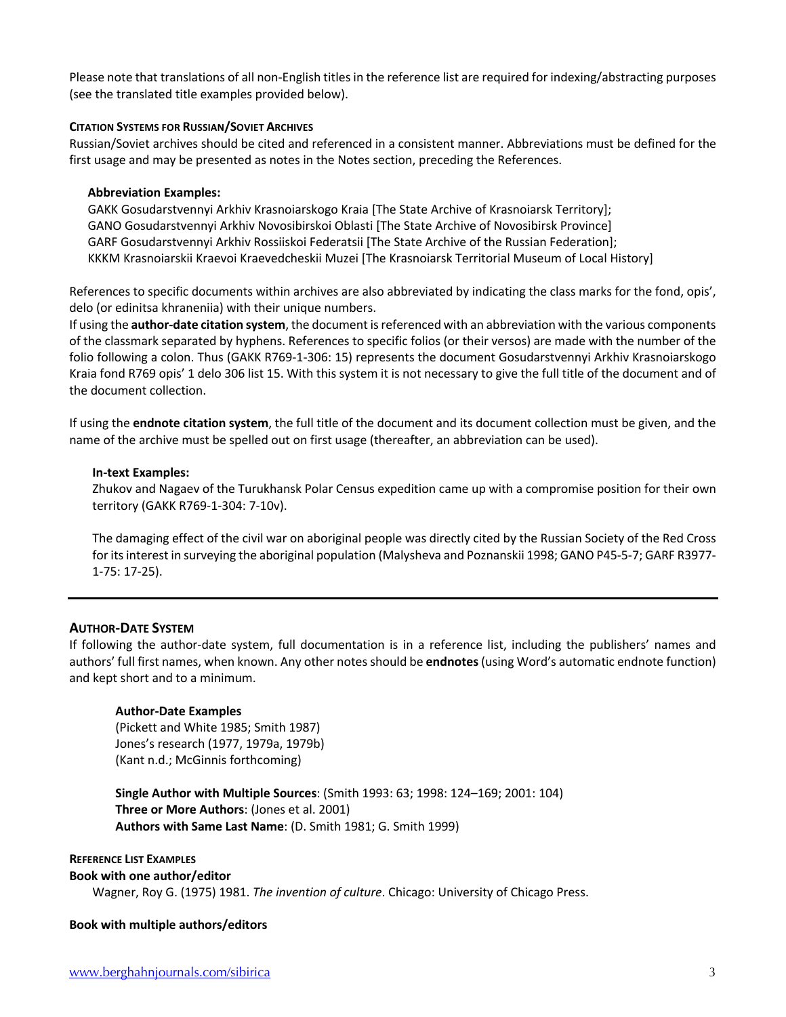Please note that translations of all non-English titles in the reference list are required for indexing/abstracting purposes (see the translated title examples provided below).

## **CITATION SYSTEMS FOR RUSSIAN/SOVIET ARCHIVES**

Russian/Soviet archives should be cited and referenced in a consistent manner. Abbreviations must be defined for the first usage and may be presented as notes in the Notes section, preceding the References.

### **Abbreviation Examples:**

GAKK Gosudarstvennyi Arkhiv Krasnoiarskogo Kraia [The State Archive of Krasnoiarsk Territory]; GANO Gosudarstvennyi Arkhiv Novosibirskoi Oblasti [The State Archive of Novosibirsk Province] GARF Gosudarstvennyi Arkhiv Rossiiskoi Federatsii [The State Archive of the Russian Federation]; KKKM Krasnoiarskii Kraevoi Kraevedcheskii Muzei [The Krasnoiarsk Territorial Museum of Local History]

References to specific documents within archives are also abbreviated by indicating the class marks for the fond, opis', delo (or edinitsa khraneniia) with their unique numbers.

If using the **author-date citation system**, the document is referenced with an abbreviation with the various components of the classmark separated by hyphens. References to specific folios (or their versos) are made with the number of the folio following a colon. Thus (GAKK R769-1-306: 15) represents the document Gosudarstvennyi Arkhiv Krasnoiarskogo Kraia fond R769 opis' 1 delo 306 list 15. With this system it is not necessary to give the full title of the document and of the document collection.

If using the **endnote citation system**, the full title of the document and its document collection must be given, and the name of the archive must be spelled out on first usage (thereafter, an abbreviation can be used).

### **In-text Examples:**

Zhukov and Nagaev of the Turukhansk Polar Census expedition came up with a compromise position for their own territory (GAKK R769-1-304: 7-10v).

The damaging effect of the civil war on aboriginal people was directly cited by the Russian Society of the Red Cross for its interest in surveying the aboriginal population (Malysheva and Poznanskii 1998; GANO P45-5-7; GARF R3977- 1-75: 17-25).

## **AUTHOR-DATE SYSTEM**

If following the author-date system, full documentation is in a reference list, including the publishers' names and authors' full first names, when known. Any other notes should be **endnotes** (using Word's automatic endnote function) and kept short and to a minimum.

## **Author-Date Examples**

(Pickett and White 1985; Smith 1987) Jones's research (1977, 1979a, 1979b) (Kant n.d.; McGinnis forthcoming)

**Single Author with Multiple Sources**: (Smith 1993: 63; 1998: 124–169; 2001: 104) **Three or More Authors**: (Jones et al. 2001) **Authors with Same Last Name**: (D. Smith 1981; G. Smith 1999)

#### **REFERENCE LIST EXAMPLES**

#### **Book with one author/editor**

Wagner, Roy G. (1975) 1981. *The invention of culture*. Chicago: University of Chicago Press.

## **Book with multiple authors/editors**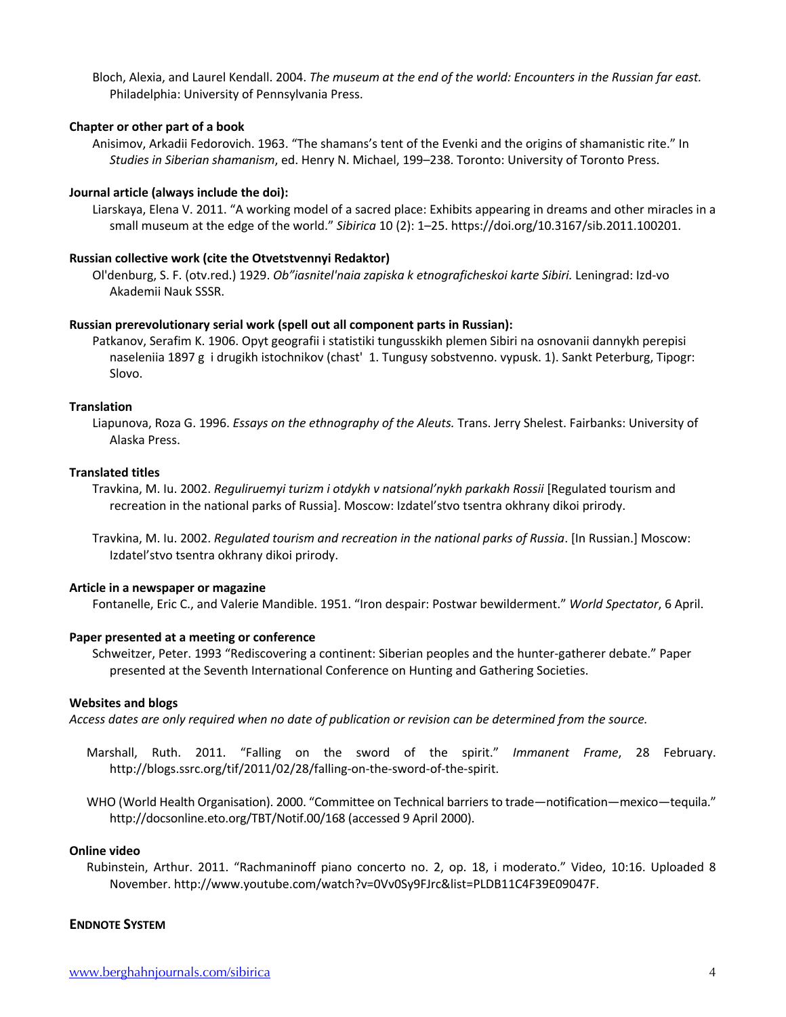Bloch, Alexia, and Laurel Kendall. 2004. *The museum at the end of the world: Encounters in the Russian far east.* Philadelphia: University of Pennsylvania Press.

## **Chapter or other part of a book**

Anisimov, Arkadii Fedorovich. 1963. "The shamans's tent of the Evenki and the origins of shamanistic rite." In *Studies in Siberian shamanism*, ed. Henry N. Michael, 199–238. Toronto: University of Toronto Press.

#### **Journal article (always include the doi):**

Liarskaya, Elena V. 2011. "A working model of a sacred place: Exhibits appearing in dreams and other miracles in a small museum at the edge of the world." *Sibirica* 10 (2): 1–25. https://doi.org/10.3167/sib.2011.100201.

#### **Russian collective work (cite the Otvetstvennyi Redaktor)**

Ol'denburg, S. F. (otv.red.) 1929. *Ob"iasnitel'naia zapiska k etnograficheskoi karte Sibiri.* Leningrad: Izd-vo Akademii Nauk SSSR.

#### **Russian prerevolutionary serial work (spell out all component parts in Russian):**

Patkanov, Serafim K. 1906. Opyt geografii i statistiki tungusskikh plemen Sibiri na osnovanii dannykh perepisi naseleniia 1897 g i drugikh istochnikov (chast' 1. Tungusy sobstvenno. vypusk. 1). Sankt Peterburg, Tipogr: Slovo.

#### **Translation**

Liapunova, Roza G. 1996. *Essays on the ethnography of the Aleuts.* Trans. Jerry Shelest. Fairbanks: University of Alaska Press.

### **Translated titles**

Travkina, M. Iu. 2002. *Reguliruemyi turizm i otdykh v natsional'nykh parkakh Rossii* [Regulated tourism and recreation in the national parks of Russia]. Moscow: Izdatel'stvo tsentra okhrany dikoi prirody.

Travkina, M. Iu. 2002. *Regulated tourism and recreation in the national parks of Russia*. [In Russian.] Moscow: Izdatel'stvo tsentra okhrany dikoi prirody.

#### **Article in a newspaper or magazine**

Fontanelle, Eric C., and Valerie Mandible. 1951. "Iron despair: Postwar bewilderment." *World Spectator*, 6 April.

#### **Paper presented at a meeting or conference**

Schweitzer, Peter. 1993 "Rediscovering a continent: Siberian peoples and the hunter-gatherer debate." Paper presented at the Seventh International Conference on Hunting and Gathering Societies.

#### **Websites and blogs**

*Access dates are only required when no date of publication or revision can be determined from the source.*

- Marshall, Ruth. 2011. "Falling on the sword of the spirit." *Immanent Frame*, 28 February. http://blogs.ssrc.org/tif/2011/02/28/falling-on-the-sword-of-the-spirit.
- WHO (World Health Organisation). 2000. "Committee on Technical barriers to trade—notification—mexico—tequila." http://docsonline.eto.org/TBT/Notif.00/168 (accessed 9 April 2000).

#### **Online video**

Rubinstein, Arthur. 2011. "Rachmaninoff piano concerto no. 2, op. 18, i moderato." Video, 10:16. Uploaded 8 November. http://www.youtube.com/watch?v=0Vv0Sy9FJrc&list=PLDB11C4F39E09047F.

#### **ENDNOTE SYSTEM**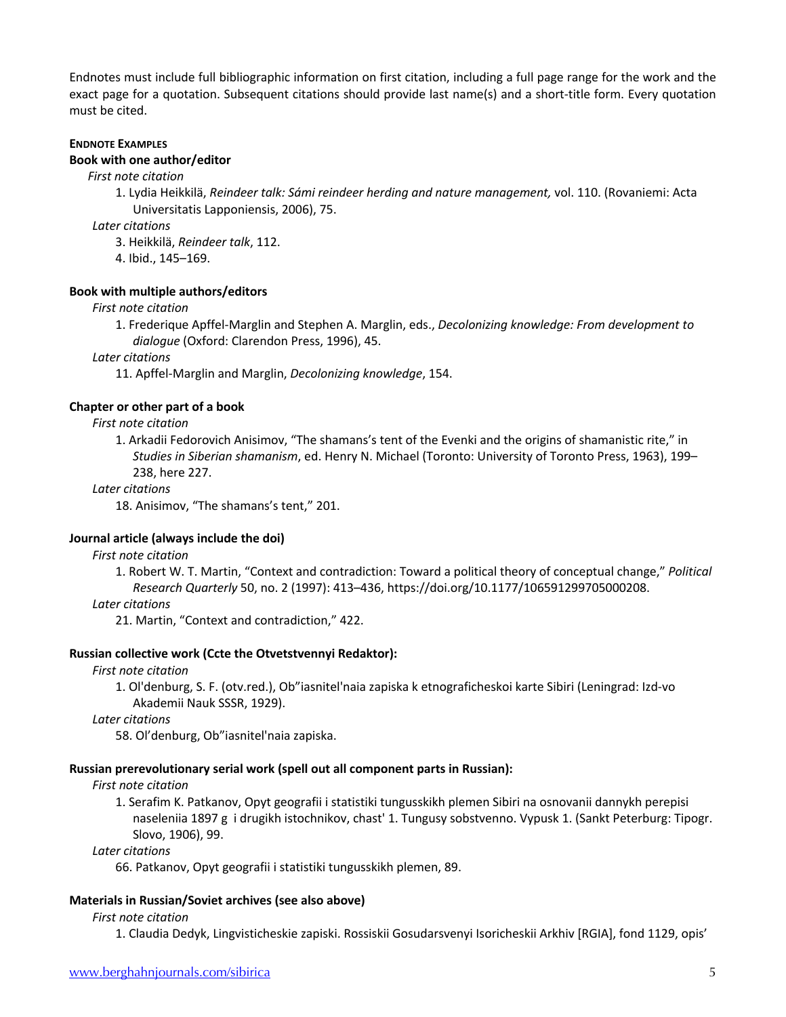Endnotes must include full bibliographic information on first citation, including a full page range for the work and the exact page for a quotation. Subsequent citations should provide last name(s) and a short-title form. Every quotation must be cited.

#### **ENDNOTE EXAMPLES**

#### **Book with one author/editor**

*First note citation*

1. Lydia Heikkilä, *Reindeer talk: Sámi reindeer herding and nature management,* vol. 110. (Rovaniemi: Acta Universitatis Lapponiensis, 2006), 75.

*Later citations*

3. Heikkilä, *Reindeer talk*, 112.

4. Ibid., 145–169.

#### **Book with multiple authors/editors**

*First note citation*

1. Frederique Apffel-Marglin and Stephen A. Marglin, eds., *Decolonizing knowledge: From development to dialogue* (Oxford: Clarendon Press, 1996), 45.

*Later citations*

11. Apffel-Marglin and Marglin, *Decolonizing knowledge*, 154.

#### **Chapter or other part of a book**

#### *First note citation*

1. Arkadii Fedorovich Anisimov, "The shamans's tent of the Evenki and the origins of shamanistic rite," in *Studies in Siberian shamanism*, ed. Henry N. Michael (Toronto: University of Toronto Press, 1963), 199– 238, here 227.

#### *Later citations*

18. Anisimov, "The shamans's tent," 201.

#### **Journal article (always include the doi)**

#### *First note citation*

1. Robert W. T. Martin, "Context and contradiction: Toward a political theory of conceptual change," *Political Research Quarterly* 50, no. 2 (1997): 413–436, https://doi.org/10.1177/106591299705000208.

#### *Later citations*

21. Martin, "Context and contradiction," 422.

#### **Russian collective work (Ccte the Otvetstvennyi Redaktor):**

*First note citation*

1. Ol'denburg, S. F. (otv.red.), Ob"iasnitel'naia zapiska k etnograficheskoi karte Sibiri (Leningrad: Izd-vo Akademii Nauk SSSR, 1929).

*Later citations*

58. Ol'denburg, Ob"iasnitel'naia zapiska.

#### **Russian prerevolutionary serial work (spell out all component parts in Russian):**

#### *First note citation*

1. Serafim K. Patkanov, Opyt geografii i statistiki tungusskikh plemen Sibiri na osnovanii dannykh perepisi naseleniia 1897 g i drugikh istochnikov, chast' 1. Tungusy sobstvenno. Vypusk 1. (Sankt Peterburg: Tipogr. Slovo, 1906), 99.

#### *Later citations*

66. Patkanov, Opyt geografii i statistiki tungusskikh plemen, 89.

#### **Materials in Russian/Soviet archives (see also above)**

#### *First note citation*

1. Claudia Dedyk, Lingvisticheskie zapiski. Rossiskii Gosudarsvenyi Isoricheskii Arkhiv [RGIA], fond 1129, opis'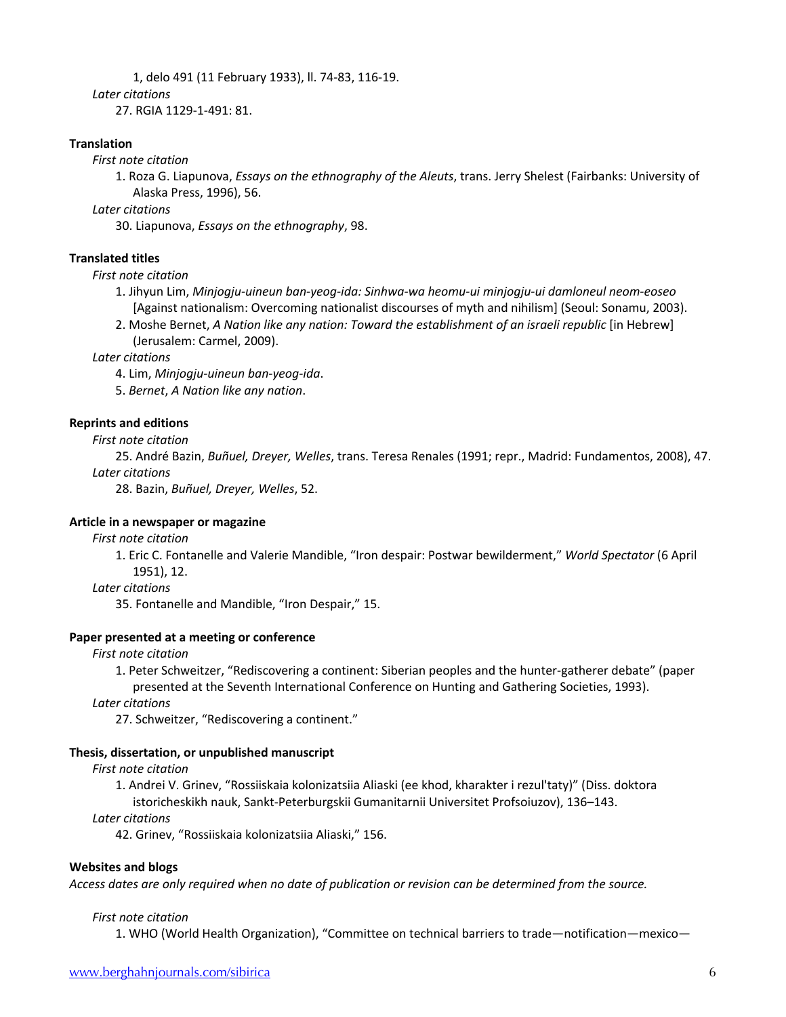1, delo 491 (11 February 1933), ll. 74-83, 116-19. *Later citations* 27. RGIA 1129-1-491: 81.

**Translation**

*First note citation*

1. Roza G. Liapunova, *Essays on the ethnography of the Aleuts*, trans. Jerry Shelest (Fairbanks: University of Alaska Press, 1996), 56.

*Later citations*

30. Liapunova, *Essays on the ethnography*, 98.

## **Translated titles**

### *First note citation*

- 1. Jihyun Lim, *Minjogju-uineun ban-yeog-ida: Sinhwa-wa heomu-ui minjogju-ui damloneul neom-eoseo*  [Against nationalism: Overcoming nationalist discourses of myth and nihilism] (Seoul: Sonamu, 2003).
- 2. Moshe Bernet, *A Nation like any nation: Toward the establishment of an israeli republic* [in Hebrew] (Jerusalem: Carmel, 2009).

### *Later citations*

4. Lim, *Minjogju-uineun ban-yeog-ida*.

5. *Bernet*, *A Nation like any nation*.

## **Reprints and editions**

*First note citation*

25. André Bazin, *Buñuel, Dreyer, Welles*, trans. Teresa Renales (1991; repr., Madrid: Fundamentos, 2008), 47. *Later citations*

28. Bazin, *Buñuel, Dreyer, Welles*, 52.

### **Article in a newspaper or magazine**

*First note citation*

1. Eric C. Fontanelle and Valerie Mandible, "Iron despair: Postwar bewilderment," *World Spectator* (6 April 1951), 12.

## *Later citations*

35. Fontanelle and Mandible, "Iron Despair," 15.

## **Paper presented at a meeting or conference**

## *First note citation*

1. Peter Schweitzer, "Rediscovering a continent: Siberian peoples and the hunter-gatherer debate" (paper presented at the Seventh International Conference on Hunting and Gathering Societies, 1993).

*Later citations*

27. Schweitzer, "Rediscovering a continent."

## **Thesis, dissertation, or unpublished manuscript**

## *First note citation*

1. Andrei V. Grinev, "Rossiiskaia kolonizatsiia Aliaski (ee khod, kharakter i rezul'taty)" (Diss. doktora istoricheskikh nauk, Sankt-Peterburgskii Gumanitarnii Universitet Profsoiuzov), 136–143.

*Later citations*

42. Grinev, "Rossiiskaia kolonizatsiia Aliaski," 156.

## **Websites and blogs**

*Access dates are only required when no date of publication or revision can be determined from the source.*

## *First note citation*

1. WHO (World Health Organization), "Committee on technical barriers to trade—notification—mexico—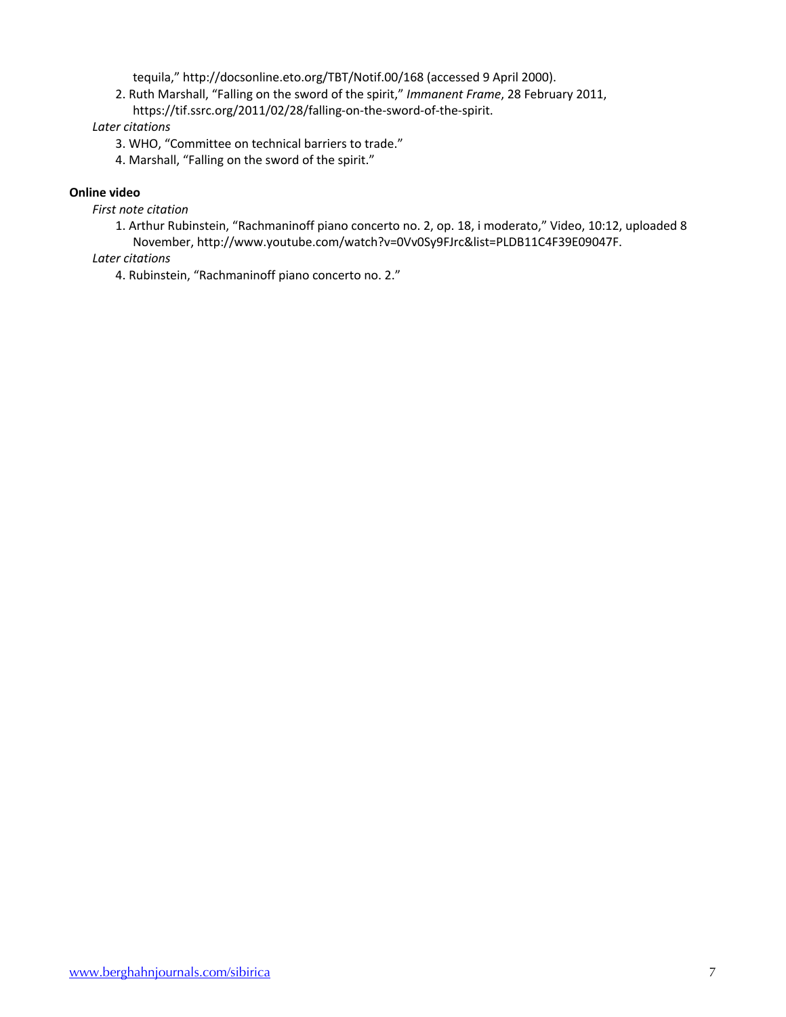tequila," http://docsonline.eto.org/TBT/Notif.00/168 (accessed 9 April 2000).

2. Ruth Marshall, "Falling on the sword of the spirit," *Immanent Frame*, 28 February 2011, https://tif.ssrc.org/2011/02/28/falling-on-the-sword-of-the-spirit.

## *Later citations*

- 3. WHO, "Committee on technical barriers to trade."
- 4. Marshall, "Falling on the sword of the spirit."

## **Online video**

- *First note citation*
	- 1. Arthur Rubinstein, "Rachmaninoff piano concerto no. 2, op. 18, i moderato," Video, 10:12, uploaded 8 November, http://www.youtube.com/watch?v=0Vv0Sy9FJrc&list=PLDB11C4F39E09047F.

## *Later citations*

4. Rubinstein, "Rachmaninoff piano concerto no. 2."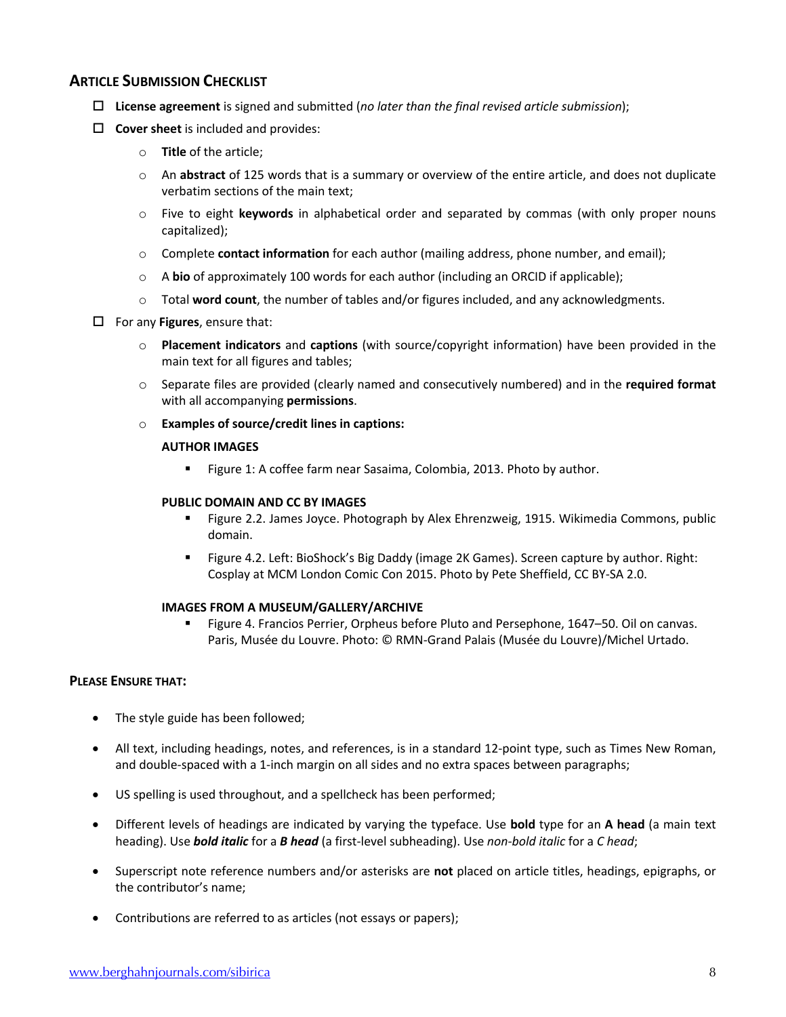## **ARTICLE SUBMISSION CHECKLIST**

- o **License agreement** is signed and submitted (*no later than the final revised article submission*);
- $\Box$  **Cover sheet** is included and provides:
	- o **Title** of the article;
	- o An **abstract** of 125 words that is a summary or overview of the entire article, and does not duplicate verbatim sections of the main text;
	- o Five to eight **keywords** in alphabetical order and separated by commas (with only proper nouns capitalized);
	- o Complete **contact information** for each author (mailing address, phone number, and email);
	- o A **bio** of approximately 100 words for each author (including an ORCID if applicable);
	- o Total **word count**, the number of tables and/or figures included, and any acknowledgments.
- $\Box$  For any **Figures**, ensure that:
	- o **Placement indicators** and **captions** (with source/copyright information) have been provided in the main text for all figures and tables;
	- o Separate files are provided (clearly named and consecutively numbered) and in the **required format** with all accompanying **permissions**.
	- o **Examples of source/credit lines in captions:**

## **AUTHOR IMAGES**

■ Figure 1: A coffee farm near Sasaima, Colombia, 2013. Photo by author.

## **PUBLIC DOMAIN AND CC BY IMAGES**

- § Figure 2.2. James Joyce. Photograph by Alex Ehrenzweig, 1915. Wikimedia Commons, public domain.
- § Figure 4.2. Left: BioShock's Big Daddy (image 2K Games). Screen capture by author. Right: Cosplay at MCM London Comic Con 2015. Photo by Pete Sheffield, CC BY-SA 2.0.

## **IMAGES FROM A MUSEUM/GALLERY/ARCHIVE**

§ Figure 4. Francios Perrier, Orpheus before Pluto and Persephone, 1647–50. Oil on canvas. Paris, Musée du Louvre. Photo: © RMN-Grand Palais (Musée du Louvre)/Michel Urtado.

## **PLEASE ENSURE THAT:**

- The style guide has been followed;
- All text, including headings, notes, and references, is in a standard 12-point type, such as Times New Roman, and double-spaced with a 1-inch margin on all sides and no extra spaces between paragraphs;
- US spelling is used throughout, and a spellcheck has been performed;
- Different levels of headings are indicated by varying the typeface. Use **bold** type for an **A head** (a main text heading). Use *bold italic* for a *B head* (a first-level subheading). Use *non-bold italic* for a *C head*;
- Superscript note reference numbers and/or asterisks are **not** placed on article titles, headings, epigraphs, or the contributor's name;
- Contributions are referred to as articles (not essays or papers);